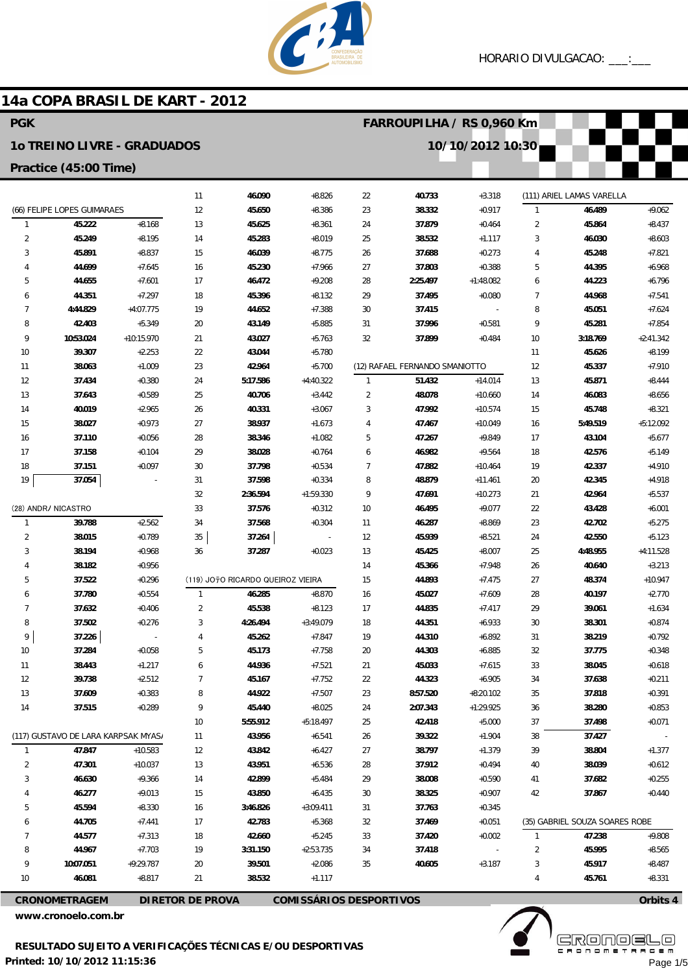

#### 14a COPA BRASIL DE KART - 2012 **PGK FARROUPILHA / RS 0.960 Km 10 TREINO LIVRE - GRADUADOS** 10/10/2012 10:30 Practice (45:00 Time) 46.090 (111) ARIEL LAMAS VARELLA  $+8.826$  $22$ 40.733 11  $+3.318$ (66) FELIPE LOPES GUIMARAES  $12$ 45.650  $+8.386$  $2<sub>3</sub>$ 38.332  $+0.917$ 46.489  $+9.062$  $\overline{1}$  $\overline{1}$ 45.222  $+8.168$  $13$ 45.625  $+8.361$  $\overline{24}$ 37.879  $+0.464$  $\overline{2}$ 45.864  $+8.437$  $\overline{2}$ 45249  $+8.195$  $14$ **A5 282**  $+8.019$  $25$ 28522  $+1117$  $\mathbf{3}$ 46.030  $+8603$  $\overline{3}$ 45.891  $+8.837$ 46.039  $+0.273$  $+7.821$ 15  $+8.775$  $26$ 37.688  $\overline{4}$ 45.248  $\overline{4}$ 45.230 27 37.803  $+0.388$ 5 44.699  $+7.645$  $16$  $+7.966$ 44.395  $+6.968$ 5 44.655  $+7.601$  $17$ 46.472  $+9.208$ 28 2:25.497  $+1:48.082$  $\ddot{\theta}$ 44.223  $+6.796$ 44.351  $+7.297$ 29 18 45.396 37.495  $+0.080$  $\overline{1}$ 44.968  $+7.541$ 6  $+8.132$  $\overline{7}$  $+4.07775$  $4.44829$  $19$ 44 652  $+7.388$ 30 37.415 8 45051  $+7.624$ 8 42.403  $+5.349$ 20 43.149  $+5.885$  $31$ 37.996  $+0.581$ q 45.281  $+7.854$  $\overline{9}$ 1053024  $+10.15970$  $21$ 43027  $32$ 37899  $+0.484$  $10$ 3.18769  $+2.41342$  $+5,763$  $10$ 39.307  $+2253$  $2^{\circ}$ 43044  $+5,780$  $11$ 45626  $+8199$  $11$ 38.063  $+1.009$ 23 42.964 (12) RAFAEL FERNANDO SMANIOTTO  $+7.910$  $+5700$  $12$ 45.337 51.432  $+14.014$  $12$ 37.434  $+0.380$ 5:17.586  $+4.40322$ 45.871  $24$ 1  $13$  $+8444$  $13$ 37.643  $+0.589$  $25$ 40.706  $+3.442$  $\overline{2}$ 48.078  $+10660$  $14$ 46.083  $+8.656$ 40.019  $\overline{3}$ 47.992  $14$  $+2.965$  $26$ 40.331  $+3.067$  $+10.574$ 45.748  $+8.321$ 15  $15$ 38.027  $+0.973$  $27$ 38 937  $+1673$  $\Delta$ 47.467  $+10.049$  $16$  $5.49519$  $+5.12092$  $16$ 37.110  $+0.056$  $28$ 38.346  $+1.082$  $\overline{5}$ 47.267  $+9.849$  $17$ 43.104  $+5.677$  $17$ 37.158 29 38.028  $+0.764$ 46.982  $+9.564$ 42.576  $+5.149$  $+0.104$  $\overline{6}$ 18  $18$ 37151  $+0.097$ 30 37798  $+0.534$  $\overline{7}$ 47882  $+10.464$  $10$ 42337  $+4910$ 19 37.054  $31$ 37.598  $+0.334$  $\, 8$ 48.879 20 42.345  $+4.918$  $+11.461$  $\overline{Q}$  $2.36594$  $+1.59330$  $+10.273$  $21$  $32$ 47691 42964  $+5537$ 37.576 (28) ANDR/ NICASTRO  $33$  $+0.312$  $10$ 46.495  $+9.077$ 22 43.428  $+6.001$  $+2.562$ 42.702  $+5.275$  $\overline{1}$ 39.788 34 37.568  $+0.304$  $11$ 46.287  $+8.869$ 23  $\overline{2}$ 38.015  $+0.789$ 35 37.264  $12$ 45939  $+8521$  $24$ 42550  $+5123$ 37.287  $\overline{3}$ 38.194  $+0.968$ 36  $+0.023$  $13$ 45.425  $+8.007$ 25 4:48.955  $+4:11.528$  $\overline{4}$  $+0.956$ 45.366  $+7948$  $26$ 38.182 14 40.640  $+3213$ 5 37.522  $+0.296$ (119) JO70 RICARDO QUEIROZ VIEIRA 15 44.893  $+7.475$ 27 48.374  $+10.947$ 37.780  $+0.554$ 46.285  $+8.870$ 45.027 28 40.197  $+2.770$  $\overline{6}$  $\overline{1}$  $16$  $+7.609$  $\overline{7}$ 37.632  $+0.406$  $\overline{2}$ 45.538  $+8.123$ 17 44.835  $+7.417$ 29 39.061  $+1.634$ 8 37.502  $+0.276$  $\overline{3}$ 4:26.494  $+3:49.079$ 18 44.351  $+6.933$ 30 38.301  $+0.874$  $\overline{9}$ 37.226  $\overline{4}$ 45.262  $+7.847$ 19 44.310  $+6.892$  $31$ 38.219  $+0.792$  $10$ 37.284  $+0.058$  $\overline{5}$ 45.173  $+7.758$ 20 44.303  $+6.885$  $32$ 37.775  $+0.348$  $11$ 38.443  $+1.217$  $\ddot{\mathbf{6}}$ 44.936  $+7.521$  $21$ 45.033  $+7.615$  $33$ 38.045  $+0.618$  $\overline{7}$  $12$ 39.738  $+2512$ 45.167  $+7752$  $22$ 44.323  $+6905$ 34 37.638  $+0.211$  $13$ 37.609  $+0.383$ 8 44.922  $+7.507$ 23 8:57.520  $+8:20.102$ 35 37.818  $+0.391$  $14$ 37.515  $+0.289$  $\mathsf{q}$ 45.440  $+8.025$  $24$ 2:07.343  $+1:29.925$ 36 38.280  $+0.853$  $10$ 5:55.912  $+5:18.497$  $25$ 42.418  $+5.000$ 37 37.498  $+0.071$ (117) GUSTAVO DE LARA KARPSAK MYAS  $11$ 43.956  $+6.541$  $26$ 39.322  $+1.904$ 38 37.427 47.847  $+10.583$  $12$ 43.842  $+6.427$  $27$ 38.797  $+1.379$ 39 38.804  $+1.377$  $\overline{1}$  $+10.037$  $\overline{2}$ 47.301  $13$ 43.951  $+6.536$ 28 37.912  $+0.494$ 40 38.039  $+0.612$  $\overline{3}$ 46.630  $+9.366$  $14$ 42.899  $+5.484$  $29$ 38.008  $+0.590$  $41$ 37.682  $+0.255$ 43850  $\overline{A}$ 46277  $+9.013$  $15$  $+6.435$ 30 38325  $+0.907$  $\Delta$ 2 37867  $+0.440$ 5 45.594  $+8.330$ 3:46.826  $+3:09.411$ 37.763  $+0.345$  $16$  $31$ 6 44.705  $+7.441$  $17$ 42.783  $+5.368$ 32 37.469  $+0.051$ (35) GABRIEL SOUZA SOARES ROBE  $\overline{7}$ 44.577  $+7.313$ 18 42.660  $+5.245$ 33 37.420  $+0.002$ 47.238  $+9.808$  $\overline{1}$  $\overline{8}$ 44.967  $+7703$  $19$ 3:31.150  $+2.53735$ 34 37.418  $\overline{\mathcal{L}}$ 45.995  $+8.565$  $\overline{9}$ 40.605 10:07.051  $+9.29787$ 39.501 35  $\overline{3}$  $20$  $+2086$  $+3.187$ 45.917  $+8487$  $10$ 46.081  $+8.817$  $21$ 38.532  $+1.117$  $\overline{4}$ 45.761  $+8.331$

**CRONOMETRAGEM DIRETOR DE PROVA**  **COMISSÁRIOS DESPORTIVOS** 

www.cronoelo.com.br



Page 1/5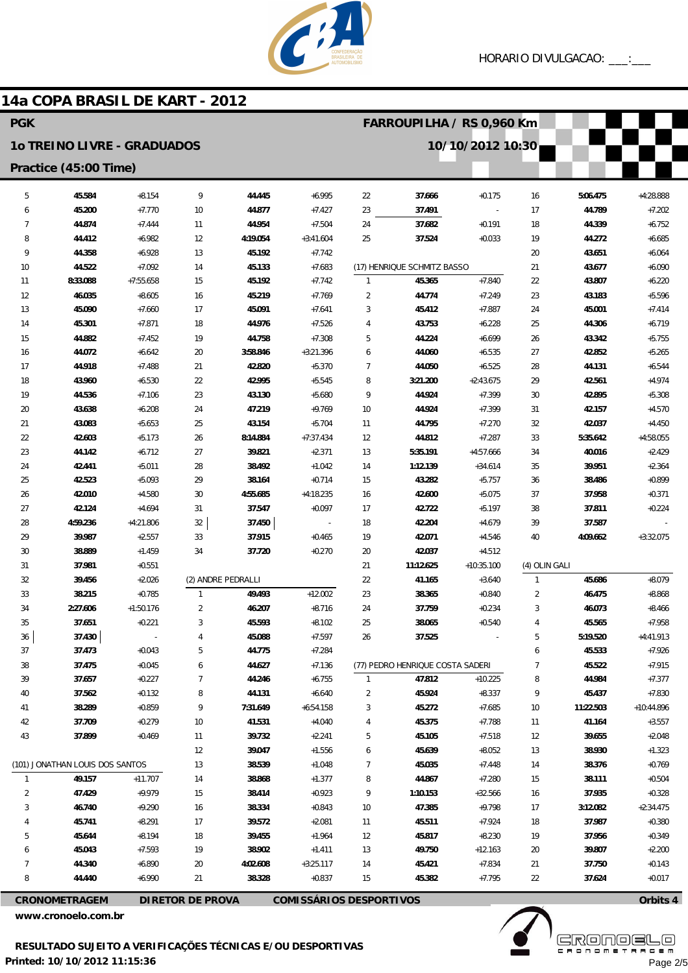

# 14a COPA BRASIL DE KART - 2012

| <b>PGK</b>                                             |                       |                      |                         |                    |                                |                | FARROUPILHA / RS 0,960 Km        |                      |                |                  |                      |  |  |
|--------------------------------------------------------|-----------------------|----------------------|-------------------------|--------------------|--------------------------------|----------------|----------------------------------|----------------------|----------------|------------------|----------------------|--|--|
| 10/10/2012 10:30<br><b>10 TREINO LIVRE - GRADUADOS</b> |                       |                      |                         |                    |                                |                |                                  |                      |                |                  |                      |  |  |
|                                                        | Practice (45:00 Time) |                      |                         |                    |                                |                |                                  |                      |                |                  |                      |  |  |
| 5                                                      | 45.584                | $+8.154$             | 9                       | 44.445             | $+6.995$                       | 22             | 37.666                           | $+0.175$             | 16             | 5:06.475         | +4:28.888            |  |  |
| 6                                                      | 45.200                | $+7.770$             | 10                      | 44.877             | $+7.427$                       | 23             | 37.491                           |                      | 17             | 44.789           | $+7.202$             |  |  |
| 7                                                      | 44.874                | $+7.444$             | 11                      | 44.954             | $+7.504$                       | 24             | 37.682                           | $+0.191$             | 18             | 44.339           | $+6.752$             |  |  |
| 8                                                      | 44.412                | $+6.982$             | 12                      | 4:19.054           | $+3:41.604$                    | 25             | 37.524                           | $+0.033$             | 19             | 44.272           | $+6.685$             |  |  |
| 9                                                      | 44.358                | $+6.928$             | 13                      | 45.192             | $+7.742$                       |                |                                  |                      | 20             | 43.651           | $+6.064$             |  |  |
| 10                                                     | 44.522                | $+7.092$             | 14                      | 45.133             | $+7.683$                       |                | (17) HENRIQUE SCHMITZ BASSO      |                      | 21             | 43.677           | $+6.090$             |  |  |
| 11                                                     | 8:33.088              | $+7:55.658$          | 15                      | 45.192             | $+7.742$                       | $\mathbf{1}$   | 45.365                           | $+7.840$             | 22             | 43.807           | $+6.220$             |  |  |
| 12                                                     | 46.035                | $+8.605$             | 16                      | 45.219             | $+7.769$                       | $\overline{2}$ | 44.774                           | $+7.249$             | 23             | 43.183           | $+5.596$             |  |  |
| 13                                                     | 45.090                | $+7.660$             | 17                      | 45.091             | $+7.641$                       | 3              | 45.412                           | $+7.887$             | 24             | 45.001           | $+7.414$             |  |  |
| 14                                                     | 45.301                | $+7.871$             | 18                      | 44.976             | $+7.526$                       | 4              | 43.753                           | $+6.228$             | 25             | 44.306           | $+6.719$             |  |  |
| 15                                                     | 44.882                | $+7.452$             | 19                      | 44.758             | $+7.308$                       | 5              | 44.224                           | $+6.699$             | 26             | 43.342           | $+5.755$             |  |  |
| 16                                                     | 44.072                | $+6.642$             | 20                      | 3:58.846           | $+3:21.396$                    | 6              | 44.060                           | $+6.535$             | 27             | 42.852           | $+5.265$             |  |  |
| 17                                                     | 44.918                | $+7.488$             | 21                      | 42.820             | $+5.370$                       | $\overline{7}$ | 44.050                           | $+6.525$             | 28             | 44.131           | $+6.544$             |  |  |
| 18                                                     | 43.960                | $+6.530$             | 22                      | 42.995             | $+5.545$                       | 8              | 3:21.200                         | $+2:43.675$          | 29             | 42.561           | $+4.974$             |  |  |
| 19                                                     | 44.536                | $+7.106$             | 23                      | 43.130             | $+5.680$                       | 9              | 44.924                           | $+7.399$             | 30             | 42.895           | $+5.308$             |  |  |
| 20                                                     | 43.638                | $+6.208$             | 24                      | 47.219             | $+9.769$                       | 10             | 44.924                           | $+7.399$             | 31             | 42.157           | $+4.570$             |  |  |
| 21                                                     | 43.083                | $+5.653$             | 25                      | 43.154             | $+5.704$                       | 11             | 44.795                           | $+7.270$             | 32             | 42.037           | $+4.450$             |  |  |
| 22                                                     | 42.603                | $+5.173$             | 26                      | 8:14.884           | $+7:37.434$                    | 12             | 44.812                           | $+7.287$             | 33             | 5:35.642         | $+4:58.055$          |  |  |
| 23                                                     | 44.142                | $+6.712$             | 27                      | 39.821             | $+2.371$                       | 13             | 5:35.191                         | $+4:57.666$          | 34             | 40.016           | $+2.429$             |  |  |
| 24                                                     | 42.441                | $+5.011$             | 28                      | 38.492             | $+1.042$                       | 14             | 1:12.139                         | $+34.614$            | 35             | 39.951           | $+2.364$             |  |  |
| 25                                                     | 42.523<br>42.010      | $+5.093$<br>$+4.580$ | 29<br>30                | 38.164<br>4:55.685 | $+0.714$<br>$+4:18.235$        | 15             | 43.282<br>42.600                 | $+5.757$<br>$+5.075$ | 36<br>37       | 38.486<br>37.958 | $+0.899$<br>$+0.371$ |  |  |
| 26<br>27                                               | 42.124                | $+4.694$             | 31                      | 37.547             | $+0.097$                       | 16<br>17       | 42.722                           | $+5.197$             | 38             | 37.811           | $+0.224$             |  |  |
| 28                                                     | 4:59.236              | $+4:21.806$          | 32                      | 37.450             |                                | 18             | 42.204                           | $+4.679$             | 39             | 37.587           |                      |  |  |
| 29                                                     | 39.987                | $+2.557$             | 33                      | 37.915             | $+0.465$                       | 19             | 42.071                           | $+4.546$             | 40             | 4:09.662         | $+3:32.075$          |  |  |
| 30                                                     | 38.889                | $+1.459$             | 34                      | 37.720             | $+0.270$                       | 20             | 42.037                           | $+4.512$             |                |                  |                      |  |  |
| 31                                                     | 37.981                | $+0.551$             |                         |                    |                                | 21             | 11:12.625                        | $+10:35.100$         | (4) OLIN GALI  |                  |                      |  |  |
| 32                                                     | 39.456                | $+2.026$             |                         | (2) ANDRE PEDRALLI |                                | 22             | 41.165                           | $+3.640$             | 1              | 45.686           | $+8.079$             |  |  |
| 33                                                     | 38.215                | $+0.785$             | $\mathbf{1}$            | 49.493             | $+12.002$                      | 23             | 38.365                           | $+0.840$             | $\overline{2}$ | 46.475           | $+8.868$             |  |  |
| 34                                                     | 2:27.606              | $+1:50.176$          | $\overline{2}$          | 46.207             | $+8.716$                       | 24             | 37.759                           | $+0.234$             | 3              | 46.073           | $+8.466$             |  |  |
| 35                                                     | 37.651                | $+0.221$             | 3                       | 45.593             | $+8.102$                       | 25             | 38.065                           | $+0.540$             | $\overline{4}$ | 45.565           | $+7.958$             |  |  |
| 36                                                     | 37.430                |                      | 4                       | 45.088             | $+7.597$                       | 26             | 37.525                           |                      | 5              | 5:19.520         | +4:41.913            |  |  |
| 37                                                     | 37.473                | $+0.043$             | 5                       | 44.775             | $+7.284$                       |                |                                  |                      | 6              | 45.533           | $+7.926$             |  |  |
| 38                                                     | 37.475                | $+0.045$             | 6                       | 44.627             | $+7.136$                       |                | (77) PEDRO HENRIQUE COSTA SADERI |                      | 7              | 45.522           | $+7.915$             |  |  |
| 39                                                     | 37.657                | $+0.227$             | 7                       | 44.246             | $+6.755$                       | $\mathbf{1}$   | 47.812                           | $+10.225$            | 8              | 44.984           | $+7.377$             |  |  |
| 40                                                     | 37.562                | $+0.132$             | 8                       | 44.131             | $+6.640$                       | $\overline{2}$ | 45.924                           | $+8.337$             | 9              | 45.437           | $+7.830$             |  |  |
| 41                                                     | 38.289                | $+0.859$             | 9                       | 7:31.649           | $+6:54.158$                    | 3              | 45.272                           | $+7.685$             | 10             | 11:22.503        | $+10:44.896$         |  |  |
| 42                                                     | 37.709                | $+0.279$             | 10                      | 41.531             | $+4.040$                       | 4              | 45.375                           | $+7.788$             | 11             | 41.164           | $+3.557$             |  |  |
| 43                                                     | 37.899                | $+0.469$             | 11                      | 39.732             | $+2.241$                       | 5              | 45.105                           | $+7.518$             | 12             | 39.655           | $+2.048$             |  |  |
|                                                        |                       |                      | 12                      | 39.047             | $+1.556$                       | 6              | 45.639                           | $+8.052$             | 13             | 38.930           | $+1.323$             |  |  |
| (101) JONATHAN LOUIS DOS SANTOS<br>13                  |                       |                      |                         | 38.539             | $+1.048$                       | 7              | 45.035                           | $+7.448$             | 14             | 38.376           | $+0.769$             |  |  |
| 1                                                      | 49.157                | $+11.707$            | 14                      | 38.868             | $+1.377$                       | 8              | 44.867                           | $+7.280$             | 15             | 38.111           | $+0.504$             |  |  |
| 2                                                      | 47.429                | $+9.979$             | 15                      | 38.414             | $+0.923$                       | 9              | 1:10.153                         | $+32.566$            | 16             | 37.935           | $+0.328$             |  |  |
| 3                                                      | 46.740                | $+9.290$             | 16                      | 38.334             | $+0.843$                       | 10             | 47.385                           | $+9.798$             | 17             | 3:12.082         | $+2:34.475$          |  |  |
|                                                        | 45.741                | $+8.291$             | 17                      | 39.572             | $+2.081$                       | 11             | 45.511                           | $+7.924$             | 18             | 37.987           | $+0.380$             |  |  |
| 5                                                      | 45.644                | $+8.194$             | 18                      | 39.455             | $+1.964$                       | 12             | 45.817                           | $+8.230$             | 19             | 37.956           | $+0.349$             |  |  |
| 6                                                      | 45.043                | $+7.593$             | 19                      | 38.902             | $+1.411$                       | 13             | 49.750                           | $+12.163$            | $20\,$         | 39.807           | $+2.200$             |  |  |
| 7                                                      | 44.340                | $+6.890$             | 20                      | 4:02.608           | $+3:25.117$                    | 14             | 45.421                           | $+7.834$             | 21             | 37.750           | $+0.143$             |  |  |
| 8                                                      | 44.440                | $+6.990$             | 21                      | 38.328             | $+0.837$                       | 15             | 45.382                           | $+7.795$             | 22             | 37.624           | $+0.017$             |  |  |
|                                                        | <b>CRONOMETRAGEM</b>  |                      | <b>DIRETOR DE PROVA</b> |                    | <b>COMISSÁRIOS DESPORTIVOS</b> |                |                                  |                      |                |                  | Orbits 4             |  |  |

www.cronoelo.com.br

**EKÖUÖËËË** Page 2/5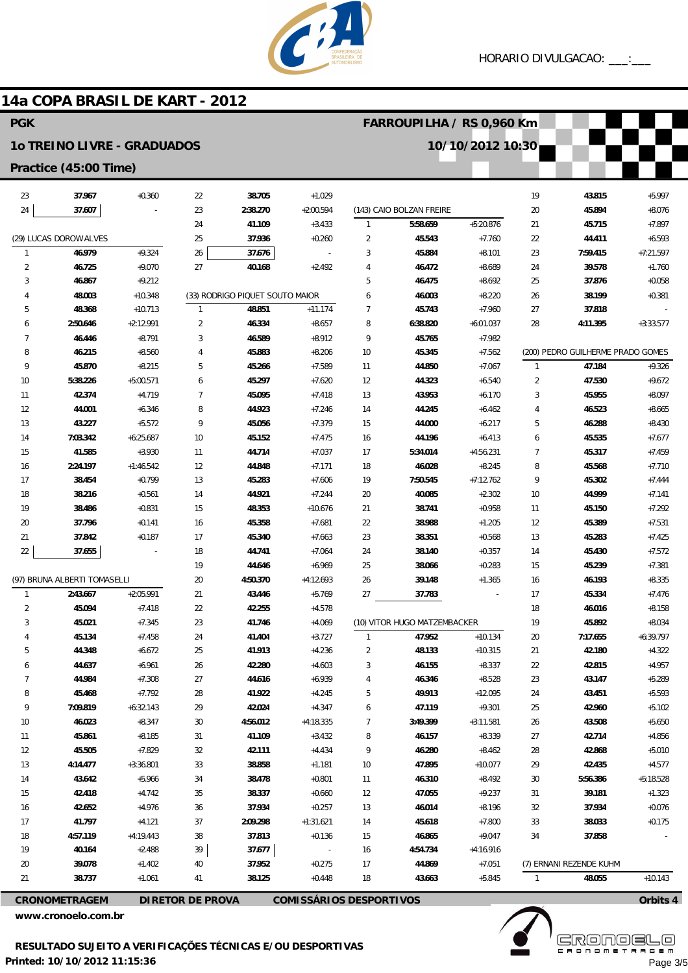

FARROUPILHA / RS 0,960 Km

10/10/2012 10:30



# 14a COPA BRASIL DE KART - 2012

## **PGK**

### **10 TREINO LIVRE - GRADUADOS**

## Practice (45:00 Time)

| 23                           | 37.967                 | $+0.360$    | 22             | 38.705                          | $+1.029$                 |                |                              |             | 19           | 43.815                            | $+5.997$    |
|------------------------------|------------------------|-------------|----------------|---------------------------------|--------------------------|----------------|------------------------------|-------------|--------------|-----------------------------------|-------------|
| 24                           | 37.607                 |             | 23             | 2:38.270                        | $+2:00.594$              |                | (143) CAIO BOLZAN FREIRE     |             | 20           | 45.894                            | $+8.076$    |
|                              |                        |             | 24             | 41.109                          | $+3.433$                 | $\mathbf{1}$   | 5:58.659                     | $+5:20.876$ | 21           | 45.715                            | $+7.897$    |
|                              | (29) LUCAS DOROW ALVES |             | 25             | 37.936                          | $+0.260$                 | $\overline{2}$ | 45.543                       | $+7.760$    | 22           | 44.411                            | $+6.593$    |
| $\mathbf{1}$                 | 46.979                 | $+9.324$    | 26             | 37.676                          | $\overline{a}$           | 3              | 45.884                       | $+8.101$    | 23           | 7:59.415                          | $+7:21.597$ |
| $\overline{2}$               | 46.725                 | $+9.070$    | 27             | 40.168                          | $+2.492$                 | 4              | 46.472                       | $+8.689$    | 24           | 39.578                            | $+1.760$    |
| 3                            | 46.867                 | $+9.212$    |                |                                 |                          | 5              | 46.475                       | $+8.692$    | 25           | 37.876                            | $+0.058$    |
| 4                            | 48.003                 | $+10.348$   |                | (33) RODRIGO PIQUET SOUTO MAIOR |                          | 6              | 46.003                       | $+8.220$    | 26           | 38.199                            | $+0.381$    |
| 5                            | 48.368                 | $+10.713$   | $\mathbf{1}$   | 48.851                          | $+11.174$                | 7              | 45.743                       | $+7.960$    | 27           | 37.818                            |             |
| 6                            | 2:50.646               | $+2:12.991$ | $\overline{2}$ | 46.334                          | $+8.657$                 | 8              | 6:38.820                     | $+6:01.037$ | 28           | 4:11.395                          | $+3:33.577$ |
| 7                            | 46.446                 | $+8.791$    | 3              | 46.589                          | $+8.912$                 | 9              | 45.765                       | $+7.982$    |              |                                   |             |
| 8                            | 46.215                 | $+8.560$    | 4              | 45.883                          | $+8.206$                 | 10             | 45.345                       | $+7.562$    |              | (200) PEDRO GUILHERME PRADO GOMES |             |
| 9                            | 45.870                 | $+8.215$    | 5              | 45.266                          | $+7.589$                 | 11             | 44.850                       | $+7.067$    | 1            | 47.184                            | $+9.326$    |
| 10                           | 5:38.226               | $+5:00.571$ | 6              | 45.297                          | $+7.620$                 | 12             | 44.323                       | $+6.540$    | 2            | 47.530                            | $+9.672$    |
| 11                           | 42.374                 | $+4.719$    | $\overline{7}$ | 45.095                          | $+7.418$                 | 13             | 43.953                       | $+6.170$    | 3            | 45.955                            | $+8.097$    |
| 12                           | 44.001                 | $+6.346$    | 8              | 44.923                          | $+7.246$                 | 14             | 44.245                       | $+6.462$    | 4            | 46.523                            | $+8.665$    |
| 13                           | 43.227                 | $+5.572$    | 9              | 45.056                          | $+7.379$                 | 15             | 44.000                       | $+6.217$    | 5            | 46.288                            | $+8.430$    |
| 14                           | 7:03.342               | $+6:25.687$ | 10             | 45.152                          | $+7.475$                 | 16             | 44.196                       | $+6.413$    | 6            | 45.535                            | $+7.677$    |
| 15                           | 41.585                 | $+3.930$    | 11             | 44.714                          | $+7.037$                 | 17             | 5:34.014                     | $+4:56.231$ | 7            | 45.317                            | $+7.459$    |
| 16                           | 2:24.197               | $+1:46.542$ | 12             | 44.848                          | $+7.171$                 | 18             | 46.028                       | $+8.245$    | 8            | 45.568                            | $+7.710$    |
| 17                           | 38.454                 | $+0.799$    | 13             | 45.283                          | $+7.606$                 | 19             | 7:50.545                     | $+7:12.762$ | 9            | 45.302                            | $+7.444$    |
| 18                           | 38.216                 | $+0.561$    | 14             | 44.921                          | $+7.244$                 | 20             | 40.085                       | $+2.302$    | 10           | 44.999                            | $+7.141$    |
| 19                           | 38.486                 | $+0.831$    | 15             | 48.353                          | $+10.676$                | 21             | 38.741                       | $+0.958$    | 11           | 45.150                            | $+7.292$    |
| 20                           | 37.796                 | $+0.141$    | 16             | 45.358                          | $+7.681$                 | 22             | 38.988                       | $+1.205$    | 12           | 45.389                            | $+7.531$    |
| 21                           | 37.842                 | $+0.187$    | 17             | 45.340                          | $+7.663$                 | 23             | 38.351                       | $+0.568$    | 13           | 45.283                            | $+7.425$    |
| 22                           | 37.655                 |             | 18             | 44.741                          | $+7.064$                 | 24             | 38.140                       | $+0.357$    | 14           | 45.430                            | $+7.572$    |
|                              |                        |             | 19             | 44.646                          | $+6.969$                 | 25             | 38.066                       | $+0.283$    | 15           | 45.239                            | $+7.381$    |
| (97) BRUNA ALBERTI TOMASELLI |                        |             | 20             | 4:50.370                        | +4:12.693                | 26             | 39.148                       | $+1.365$    | 16           | 46.193                            | $+8.335$    |
| $\mathbf{1}$                 | 2:43.667               | $+2:05.991$ | 21             | 43.446                          | $+5.769$                 | 27             | 37.783                       |             | 17           | 45.334                            | $+7.476$    |
| $\overline{2}$               | 45.094                 | $+7.418$    | 22             | 42.255                          | $+4.578$                 |                |                              |             | 18           | 46.016                            | $+8.158$    |
| 3                            | 45.021                 | $+7.345$    | 23             | 41.746                          | $+4.069$                 |                | (10) VITOR HUGO MATZEMBACKER |             | 19           | 45.892                            | $+8.034$    |
| 4                            | 45.134                 | $+7.458$    | 24             | 41.404                          | $+3.727$                 | $\mathbf{1}$   | 47.952                       | $+10.134$   | 20           | 7:17.655                          | $+6:39.797$ |
| 5                            | 44.348                 | $+6.672$    | 25             | 41.913                          | $+4.236$                 | 2              | 48.133                       | $+10.315$   | 21           | 42.180                            | $+4.322$    |
| 6                            | 44.637                 | $+6.961$    | 26             | 42.280                          | $+4.603$                 | 3              | 46.155                       | $+8.337$    | 22           | 42.815                            | $+4.957$    |
| $\overline{7}$               | 44.984                 | $+7.308$    | 27             | 44.616                          | $+6.939$                 | 4              | 46.346                       | $+8.528$    | 23           | 43.147                            | $+5.289$    |
| 8                            | 45.468                 | $+7.792$    | 28             | 41.922                          | $+4.245$                 | 5              | 49.913                       | $+12.095$   | 24           | 43.451                            | $+5.593$    |
| 9                            | 7:09.819               | $+6:32.143$ | 29             | 42.024                          | $+4.347$                 | 6              | 47.119                       | $+9.301$    | 25           | 42.960                            | $+5.102$    |
| 10                           | 46.023                 | $+8.347$    | 30             | 4:56.012                        | $+4:18.335$              | $\overline{7}$ | 3:49.399                     | $+3:11.581$ | 26           | 43.508                            | $+5.650$    |
| 11                           | 45.861                 | $+8.185$    | 31             | 41.109                          | $+3.432$                 | 8              | 46.157                       | $+8.339$    | 27           | 42.714                            | $+4.856$    |
| 12                           | 45.505                 | $+7.829$    |                | 42.111                          | $+4.434$                 | 9              | 46.280                       | $+8.462$    |              | 42.868                            | $+5.010$    |
|                              |                        |             | 32             |                                 |                          |                |                              |             | 28           |                                   |             |
| 13                           | 4:14.477               | $+3:36.801$ | 33             | 38.858                          | $+1.181$                 | 10             | 47.895                       | $+10.077$   | 29           | 42.435                            | $+4.577$    |
| 14                           | 43.642                 | $+5.966$    | 34             | 38.478                          | $+0.801$                 | 11             | 46.310                       | $+8.492$    | 30           | 5:56.386                          | $+5:18.528$ |
| 15                           | 42.418                 | $+4.742$    | 35             | 38.337                          | $+0.660$                 | 12             | 47.055                       | $+9.237$    | 31           | 39.181                            | $+1.323$    |
| 16                           | 42.652                 | $+4.976$    | 36             | 37.934                          | $+0.257$                 | 13             | 46.014                       | $+8.196$    | 32           | 37.934                            | $+0.076$    |
| 17                           | 41.797                 | $+4.121$    | 37             | 2:09.298                        | $+1:31.621$              | 14             | 45.618                       | $+7.800$    | 33           | 38.033                            | $+0.175$    |
| 18                           | 4:57.119               | $+4:19.443$ | 38             | 37.813                          | $+0.136$                 | 15             | 46.865                       | $+9.047$    | 34           | 37.858                            |             |
| 19                           | 40.164                 | $+2.488$    | 39             | 37.677                          | $\overline{\phantom{a}}$ | 16             | 4:54.734                     | $+4:16.916$ |              |                                   |             |
| 20                           | 39.078                 | $+1.402$    | 40             | 37.952                          | $+0.275$                 | 17             | 44.869                       | $+7.051$    |              | (7) ERNANI REZENDE KUHM           |             |
| 21                           | 38.737                 | $+1.061$    | 41             | 38.125                          | $+0.448$                 | 18             | 43.663                       | $+5.845$    | $\mathbf{1}$ | 48.055                            | $+10.143$   |

CRONOMETRAGEM **DIRETOR DE PROVA**  **COMISSÁRIOS DESPORTIVOS** 

www.cronoelo.com.br



Orbits 4

Page 3/5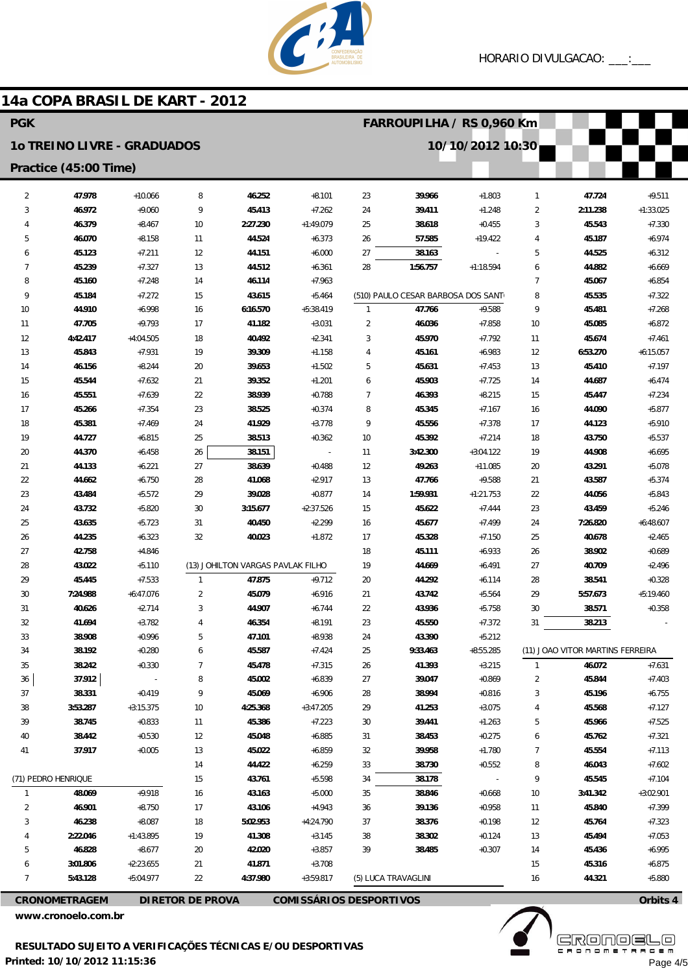

## 14a COPA BRASIL DE KART - 2012

| <b>PGK</b>     |                                    |                      |                  |                                   | FARROUPILHA / RS 0,960 Km |                |                                    |                          |                |                                  |                      |
|----------------|------------------------------------|----------------------|------------------|-----------------------------------|---------------------------|----------------|------------------------------------|--------------------------|----------------|----------------------------------|----------------------|
|                | <b>10 TREINO LIVRE - GRADUADOS</b> |                      |                  |                                   |                           |                |                                    | 10/10/2012 10:30         |                |                                  |                      |
|                | Practice (45:00 Time)              |                      |                  |                                   |                           |                |                                    |                          |                |                                  |                      |
| $\overline{2}$ | 47.978                             | $+10.066$            | 8                | 46.252                            | $+8.101$                  | 23             | 39.966                             | $+1.803$                 | $\mathbf{1}$   | 47.724                           | $+9.511$             |
| 3              | 46.972                             | $+9.060$             | 9                | 45.413                            | $+7.262$                  | 24             | 39.411                             | $+1.248$                 | $\overline{2}$ | 2:11.238                         | $+1:33.025$          |
| 4              | 46.379                             | $+8.467$             | 10               | 2:27.230                          | +1:49.079                 | 25             | 38.618                             | $+0.455$                 | 3              | 45.543                           | $+7.330$             |
| 5              | 46.070                             | $+8.158$             | 11               | 44.524                            | $+6.373$                  | 26             | 57.585                             | $+19.422$                | 4              | 45.187                           | $+6.974$             |
| 6              | 45.123                             | $+7.211$             | 12               | 44.151                            | $+6.000$                  | 27             | 38.163                             | $\overline{\phantom{a}}$ | 5              | 44.525                           | $+6.312$             |
| $\overline{7}$ | 45.239                             | $+7.327$             | 13               | 44.512                            | $+6.361$                  | 28             | 1:56.757                           | $+1:18.594$              | 6              | 44.882                           | $+6.669$             |
| 8              | 45.160                             | $+7.248$             | 14               | 46.114                            | $+7.963$                  |                |                                    |                          | $\overline{7}$ | 45.067                           | $+6.854$             |
| 9              | 45.184                             | $+7.272$             | 15               | 43.615                            | $+5.464$                  |                | (510) PAULO CESAR BARBOSA DOS SANT |                          | 8              | 45.535                           | $+7.322$             |
| 10             | 44.910                             | $+6.998$             | 16               | 6:16.570                          | $+5:38.419$               | $\mathbf{1}$   | 47.766                             | $+9.588$                 | 9              | 45.481                           | $+7.268$             |
| 11             | 47.705                             | $+9.793$             | 17               | 41.182                            | $+3.031$                  | $\overline{2}$ | 46.036                             | $+7.858$                 | 10             | 45.085                           | $+6.872$             |
| 12             | 4:42.417                           | $+4:04.505$          | 18               | 40.492                            | $+2.341$                  | 3              | 45.970                             | $+7.792$                 | 11             | 45.674                           | $+7.461$             |
| 13             | 45.843                             | $+7.931$             | 19               | 39.309                            | $+1.158$                  | 4              | 45.161                             | $+6.983$                 | 12             | 6:53.270                         | $+6:15.057$          |
| 14             | 46.156                             | $+8.244$             | 20               | 39.653                            | $+1.502$                  | 5              | 45.631                             | $+7.453$                 | 13             | 45.410                           | $+7.197$             |
| 15             | 45.544                             | $+7.632$             | 21               | 39.352                            | $+1.201$                  | 6              | 45.903                             | $+7.725$                 | 14             | 44.687                           | $+6.474$             |
| 16             | 45.551                             | $+7.639$             | 22               | 38.939                            | $+0.788$                  | $\overline{7}$ | 46.393                             | $+8.215$                 | 15             | 45.447                           | $+7.234$             |
| 17             | 45.266                             | $+7.354$             | 23               | 38.525                            | $+0.374$                  | 8              | 45.345                             | $+7.167$                 | 16             | 44.090                           | $+5.877$             |
| 18             | 45.381                             | $+7.469$             | 24               | 41.929                            | $+3.778$                  | 9              | 45.556                             | $+7.378$                 | 17             | 44.123                           | $+5.910$             |
| 19             | 44.727                             | $+6.815$             | 25               | 38.513                            | $+0.362$                  | 10             | 45.392                             | $+7.214$                 | 18             | 43.750                           | $+5.537$             |
| 20             | 44.370                             | $+6.458$             | 26               | 38.151                            | $\overline{\phantom{a}}$  | 11             | 3:42.300                           | $+3:04.122$              | 19             | 44.908                           | $+6.695$             |
| 21             | 44.133                             | $+6.221$             | 27               | 38.639                            | $+0.488$                  | 12             | 49.263                             | $+11.085$                | 20             | 43.291                           | $+5.078$             |
| 22             | 44.662                             | $+6.750$             | 28               | 41.068                            | $+2.917$                  | 13             | 47.766                             | $+9.588$                 | 21             | 43.587                           | $+5.374$             |
| 23             | 43.484                             | $+5.572$             | 29               | 39.028                            | $+0.877$                  | 14             | 1:59.931                           | $+1:21.753$              | 22             | 44.056                           | $+5.843$             |
| 24             | 43.732                             | $+5.820$             | 30               | 3:15.677                          | $+2:37.526$               | 15             | 45.622                             | $+7.444$                 | 23             | 43.459                           | $+5.246$             |
| 25             | 43.635                             | $+5.723$             | 31               | 40.450                            | $+2.299$                  | 16             | 45.677                             | $+7.499$                 | 24             | 7:26.820                         | $+6:48.607$          |
| 26<br>27       | 44.235<br>42.758                   | $+6.323$<br>$+4.846$ | 32               | 40.023                            | $+1.872$                  | 17<br>18       | 45.328<br>45.111                   | $+7.150$<br>$+6.933$     | 25<br>26       | 40.678<br>38.902                 | $+2.465$<br>$+0.689$ |
| 28             | 43.022                             | $+5.110$             |                  | (13) JOHILTON VARGAS PAVLAK FILHO |                           | 19             | 44.669                             | $+6.491$                 | 27             | 40.709                           | $+2.496$             |
| 29             | 45.445                             | $+7.533$             | $\mathbf{1}$     | 47.875                            | $+9.712$                  | 20             | 44.292                             | $+6.114$                 | 28             | 38.541                           | $+0.328$             |
| 30             | 7:24.988                           | $+6:47.076$          | $\overline{2}$   | 45.079                            | $+6.916$                  | 21             | 43.742                             | $+5.564$                 | 29             | 5:57.673                         | $+5:19.460$          |
| 31             | 40.626                             | $+2.714$             | 3                | 44.907                            | $+6.744$                  | 22             | 43.936                             | $+5.758$                 | 30             | 38.571                           | $+0.358$             |
| 32             | 41.694                             | $+3.782$             | $\overline{4}$   | 46.354                            | $+8.191$                  | 23             | 45.550                             | $+7.372$                 | 31             | 38.213                           |                      |
| 33             | 38.908                             | $+0.996$             | 5                | 47.101                            | $+8.938$                  | 24             | 43.390                             | $+5.212$                 |                |                                  |                      |
| 34             | 38.192                             | $+0.280$             | 6                | 45.587                            | $+7.424$                  | 25             | 9:33.463                           | $+8:55.285$              |                | (11) JOAO VITOR MARTINS FERREIRA |                      |
| $35\,$         | 38.242                             | $+0.330$             | $\overline{7}$   | 45.478                            | $+7.315$                  | 26             | 41.393                             | $+3.215$                 | $\mathbf{1}$   | 46.072                           | $+7.631$             |
| 36             | 37.912                             |                      | 8                | 45.002                            | $+6.839$                  | 27             | 39.047                             | $+0.869$                 | 2              | 45.844                           | $+7.403$             |
| 37             | 38.331                             | $+0.419$             | 9                | 45.069                            | $+6.906$                  | 28             | 38.994                             | $+0.816$                 | 3              | 45.196                           | $+6.755$             |
| 38             | 3:53.287                           | $+3:15.375$          | 10               | 4:25.368                          | $+3:47.205$               | 29             | 41.253                             | $+3.075$                 | 4              | 45.568                           | $+7.127$             |
| 39             | 38.745                             | $+0.833$             | 11               | 45.386                            | $+7.223$                  | 30             | 39.441                             | $+1.263$                 | 5              | 45.966                           | $+7.525$             |
| 40             | 38.442                             | $+0.530$             | 12               | 45.048                            | $+6.885$                  | 31             | 38.453                             | $+0.275$                 | 6              | 45.762                           | $+7.321$             |
| 41             | 37.917                             | $+0.005$             | 13               | 45.022                            | $+6.859$                  | 32             | 39.958                             | $+1.780$                 | 7              | 45.554                           | $+7.113$             |
|                |                                    |                      | 14               | 44.422                            | $+6.259$                  | 33             | 38.730                             | $+0.552$                 | 8              | 46.043                           | $+7.602$             |
|                | (71) PEDRO HENRIQUE                |                      | 15               | 43.761                            | $+5.598$                  | 34             | 38.178                             | $\overline{\phantom{a}}$ | 9              | 45.545                           | $+7.104$             |
| $\mathbf{1}$   | 48.069                             | $+9.918$             | 16               | 43.163                            | $+5.000$                  | 35             | 38.846                             | $+0.668$                 | $10$           | 3:41.342                         | $+3:02.901$          |
| $\overline{2}$ | 46.901                             | $+8.750$             | 17               | 43.106                            | $+4.943$                  | 36             | 39.136                             | $+0.958$                 | 11             | 45.840                           | $+7.399$             |
| 3              | 46.238                             | $+8.087$             | 18               | 5:02.953                          | $+4:24.790$               | 37             | 38.376                             | $+0.198$                 | 12             | 45.764                           | $+7.323$             |
|                | 2:22.046                           | +1:43.895            | 19               | 41.308                            | $+3.145$                  | 38             | 38.302                             | $+0.124$                 | 13             | 45.494                           | $+7.053$             |
| 5              | 46.828                             | $+8.677$             | 20               | 42.020                            | $+3.857$                  | 39             | 38.485                             | $+0.307$                 | 14             | 45.436                           | $+6.995$             |
| 6              | 3:01.806                           | $+2:23.655$          | 21               | 41.871                            | $+3.708$                  |                |                                    |                          | 15             | 45.316                           | $+6.875$             |
| 7              | 5:43.128                           | +5:04.977            | 22               | 4:37.980                          | $+3:59.817$               |                | (5) LUCA TRAVAGLINI                |                          | 16             | 44.321                           | $+5.880$             |
|                | <b>CRONOMETRACEM</b>               |                      | DIRETOR DE PROVA |                                   | COMISSÁRIOS DESPORTIVOS   |                |                                    |                          |                |                                  | Orbits 4             |

www.cronoelo.com.br